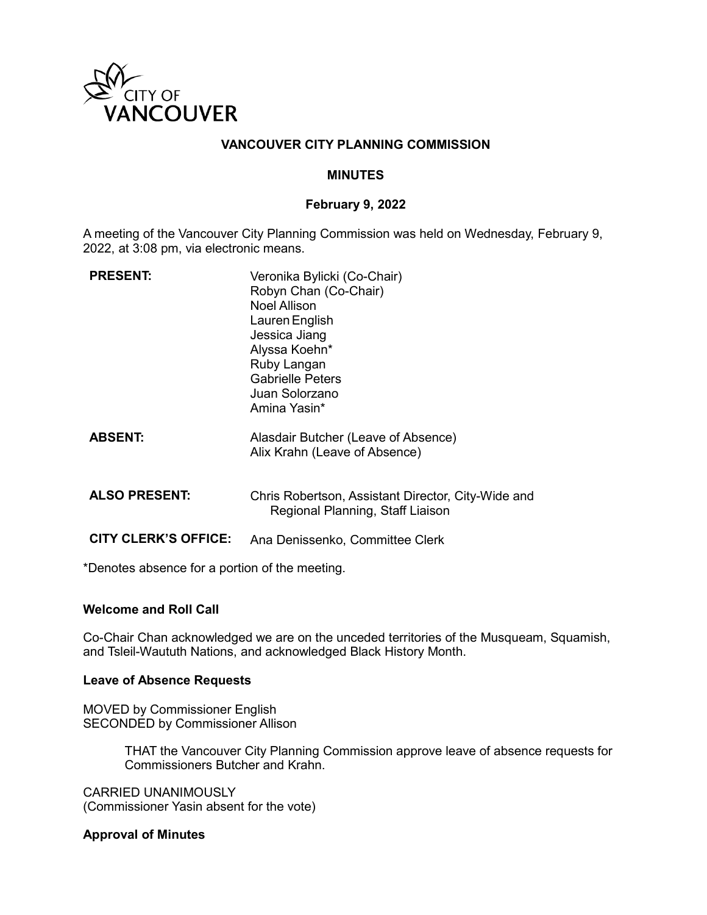

### **VANCOUVER CITY PLANNING COMMISSION**

#### **MINUTES**

#### **February 9, 2022**

A meeting of the Vancouver City Planning Commission was held on Wednesday, February 9, 2022, at 3:08 pm, via electronic means.

| <b>PRESENT:</b>             | Veronika Bylicki (Co-Chair)<br>Robyn Chan (Co-Chair)<br>Noel Allison<br>Lauren English<br>Jessica Jiang<br>Alyssa Koehn*<br>Ruby Langan<br><b>Gabrielle Peters</b><br>Juan Solorzano<br>Amina Yasin* |
|-----------------------------|------------------------------------------------------------------------------------------------------------------------------------------------------------------------------------------------------|
| <b>ABSENT:</b>              | Alasdair Butcher (Leave of Absence)<br>Alix Krahn (Leave of Absence)                                                                                                                                 |
| <b>ALSO PRESENT:</b>        | Chris Robertson, Assistant Director, City-Wide and<br>Regional Planning, Staff Liaison                                                                                                               |
| <b>CITY CLERK'S OFFICE:</b> | Ana Denissenko, Committee Clerk                                                                                                                                                                      |

\*Denotes absence for a portion of the meeting.

#### **Welcome and Roll Call**

Co-Chair Chan acknowledged we are on the unceded territories of the Musqueam, Squamish, and Tsleil-Waututh Nations, and acknowledged Black History Month.

#### **Leave of Absence Requests**

MOVED by Commissioner English SECONDED by Commissioner Allison

> THAT the Vancouver City Planning Commission approve leave of absence requests for Commissioners Butcher and Krahn.

CARRIED UNANIMOUSLY (Commissioner Yasin absent for the vote)

#### **Approval of Minutes**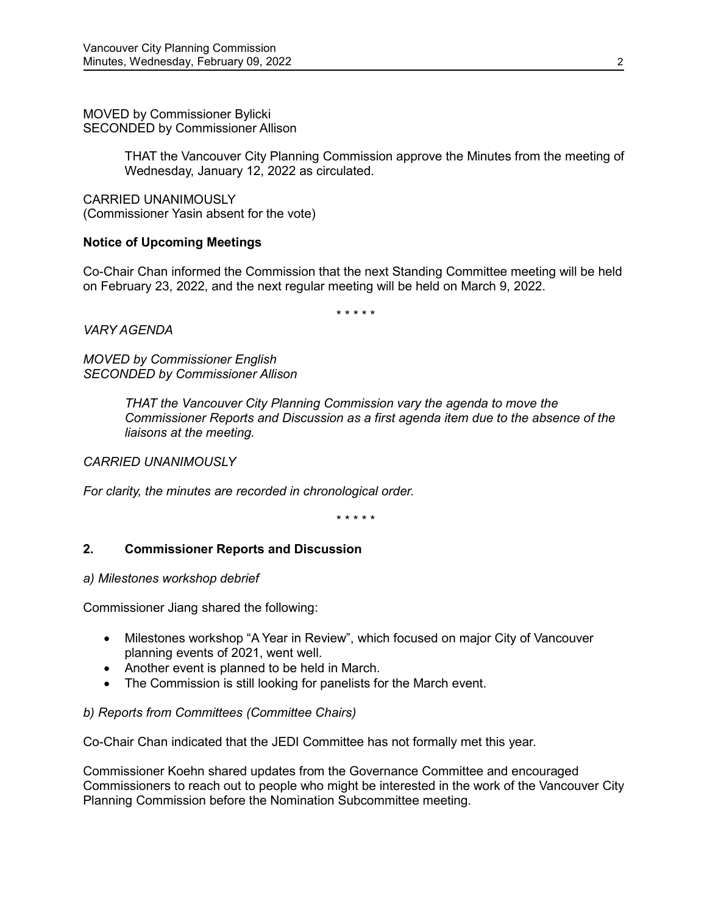MOVED by Commissioner Bylicki SECONDED by Commissioner Allison

> THAT the Vancouver City Planning Commission approve the Minutes from the meeting of Wednesday, January 12, 2022 as circulated.

CARRIED UNANIMOUSLY (Commissioner Yasin absent for the vote)

# **Notice of Upcoming Meetings**

Co-Chair Chan informed the Commission that the next Standing Committee meeting will be held on February 23, 2022, and the next regular meeting will be held on March 9, 2022.

\* \* \* \* \*

*VARY AGENDA*

*MOVED by Commissioner English SECONDED by Commissioner Allison* 

> *THAT the Vancouver City Planning Commission vary the agenda to move the Commissioner Reports and Discussion as a first agenda item due to the absence of the liaisons at the meeting.*

*CARRIED UNANIMOUSLY*

*For clarity, the minutes are recorded in chronological order.*

\* \* \* \* \*

#### **2. Commissioner Reports and Discussion**

#### *a) Milestones workshop debrief*

Commissioner Jiang shared the following:

- Milestones workshop "A Year in Review", which focused on major City of Vancouver planning events of 2021, went well.
- Another event is planned to be held in March.
- The Commission is still looking for panelists for the March event.

#### *b) Reports from Committees (Committee Chairs)*

Co-Chair Chan indicated that the JEDI Committee has not formally met this year.

Commissioner Koehn shared updates from the Governance Committee and encouraged Commissioners to reach out to people who might be interested in the work of the Vancouver City Planning Commission before the Nomination Subcommittee meeting.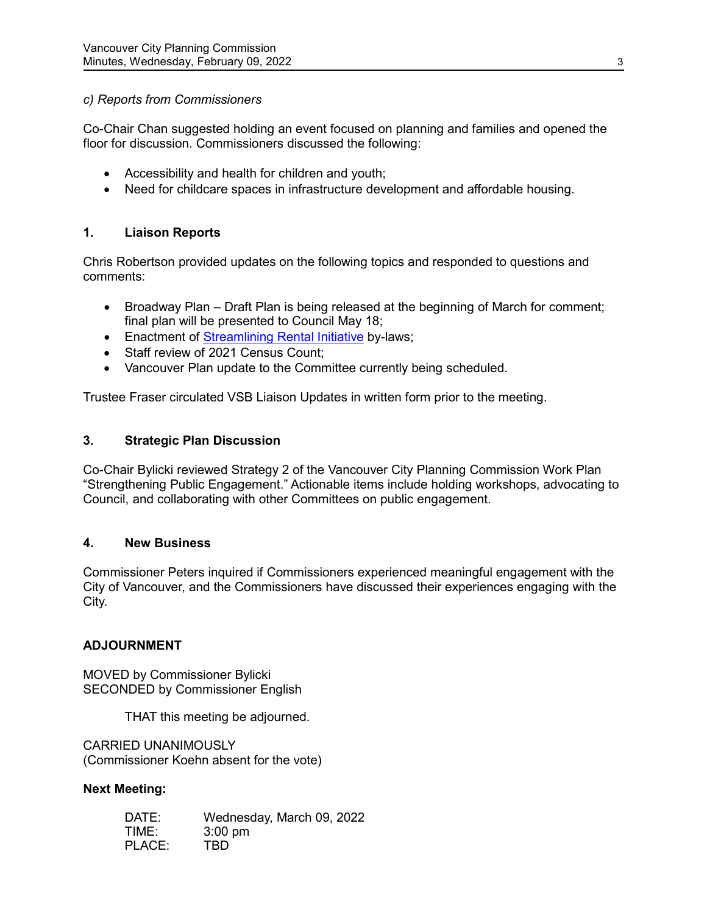### *c) Reports from Commissioners*

Co-Chair Chan suggested holding an event focused on planning and families and opened the floor for discussion. Commissioners discussed the following:

- Accessibility and health for children and youth;
- Need for childcare spaces in infrastructure development and affordable housing.

# **1. Liaison Reports**

Chris Robertson provided updates on the following topics and responded to questions and comments:

- Broadway Plan Draft Plan is being released at the beginning of March for comment; final plan will be presented to Council May 18;
- Enactment of [Streamlining Rental Initiative](https://council.vancouver.ca/20211005/documents/spec1.pdf?_ga=2.59490989.1205063102.1644366292-1653711352.1636142754) by-laws;
- Staff review of 2021 Census Count;
- Vancouver Plan update to the Committee currently being scheduled.

Trustee Fraser circulated VSB Liaison Updates in written form prior to the meeting.

# **3. Strategic Plan Discussion**

Co-Chair Bylicki reviewed Strategy 2 of the Vancouver City Planning Commission Work Plan "Strengthening Public Engagement." Actionable items include holding workshops, advocating to Council, and collaborating with other Committees on public engagement.

#### **4. New Business**

Commissioner Peters inquired if Commissioners experienced meaningful engagement with the City of Vancouver, and the Commissioners have discussed their experiences engaging with the City.

#### **ADJOURNMENT**

MOVED by Commissioner Bylicki SECONDED by Commissioner English

THAT this meeting be adjourned.

CARRIED UNANIMOUSLY (Commissioner Koehn absent for the vote)

#### **Next Meeting:**

| DATE:  | Wednesday, March 09, 2022 |
|--------|---------------------------|
| TIME:  | $3:00 \text{ pm}$         |
| PLACE: | TBD.                      |